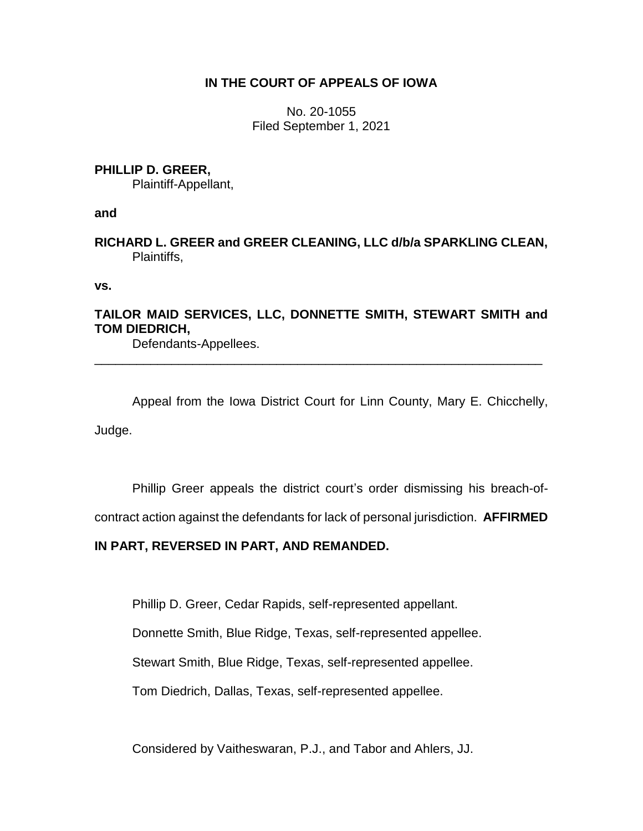# **IN THE COURT OF APPEALS OF IOWA**

No. 20-1055 Filed September 1, 2021

### **PHILLIP D. GREER,**

Plaintiff-Appellant,

### **and**

**RICHARD L. GREER and GREER CLEANING, LLC d/b/a SPARKLING CLEAN,** Plaintiffs,

**vs.**

# **TAILOR MAID SERVICES, LLC, DONNETTE SMITH, STEWART SMITH and TOM DIEDRICH,**

\_\_\_\_\_\_\_\_\_\_\_\_\_\_\_\_\_\_\_\_\_\_\_\_\_\_\_\_\_\_\_\_\_\_\_\_\_\_\_\_\_\_\_\_\_\_\_\_\_\_\_\_\_\_\_\_\_\_\_\_\_\_\_\_

Defendants-Appellees.

Appeal from the Iowa District Court for Linn County, Mary E. Chicchelly, Judge.

Phillip Greer appeals the district court's order dismissing his breach-of-

contract action against the defendants for lack of personal jurisdiction. **AFFIRMED** 

# **IN PART, REVERSED IN PART, AND REMANDED.**

Phillip D. Greer, Cedar Rapids, self-represented appellant.

Donnette Smith, Blue Ridge, Texas, self-represented appellee.

Stewart Smith, Blue Ridge, Texas, self-represented appellee.

Tom Diedrich, Dallas, Texas, self-represented appellee.

Considered by Vaitheswaran, P.J., and Tabor and Ahlers, JJ.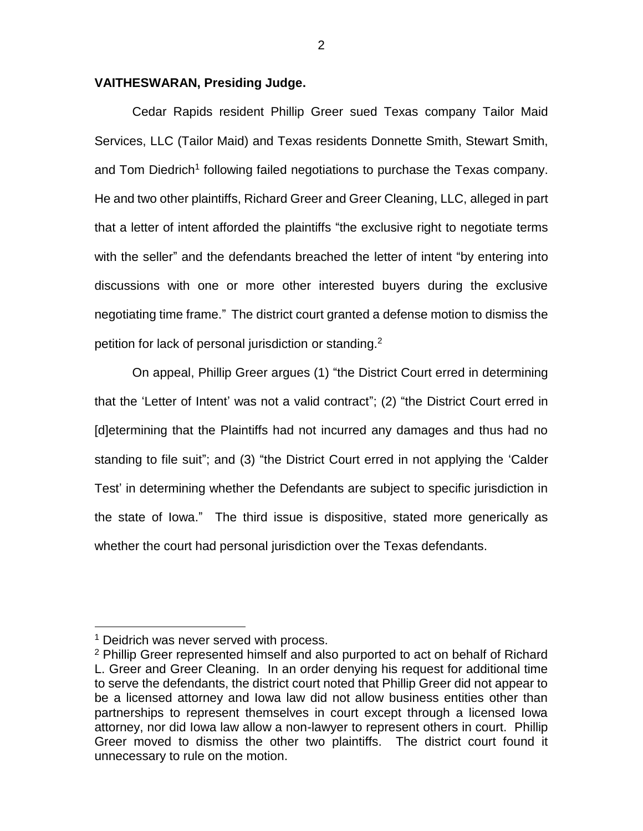### **VAITHESWARAN, Presiding Judge.**

Cedar Rapids resident Phillip Greer sued Texas company Tailor Maid Services, LLC (Tailor Maid) and Texas residents Donnette Smith, Stewart Smith, and Tom Diedrich<sup>1</sup> following failed negotiations to purchase the Texas company. He and two other plaintiffs, Richard Greer and Greer Cleaning, LLC, alleged in part that a letter of intent afforded the plaintiffs "the exclusive right to negotiate terms with the seller" and the defendants breached the letter of intent "by entering into discussions with one or more other interested buyers during the exclusive negotiating time frame." The district court granted a defense motion to dismiss the petition for lack of personal jurisdiction or standing. 2

On appeal, Phillip Greer argues (1) "the District Court erred in determining that the 'Letter of Intent' was not a valid contract"; (2) "the District Court erred in [d]etermining that the Plaintiffs had not incurred any damages and thus had no standing to file suit"; and (3) "the District Court erred in not applying the 'Calder Test' in determining whether the Defendants are subject to specific jurisdiction in the state of Iowa." The third issue is dispositive, stated more generically as whether the court had personal jurisdiction over the Texas defendants.

 $\overline{a}$ 

<sup>&</sup>lt;sup>1</sup> Deidrich was never served with process.

<sup>&</sup>lt;sup>2</sup> Phillip Greer represented himself and also purported to act on behalf of Richard L. Greer and Greer Cleaning. In an order denying his request for additional time to serve the defendants, the district court noted that Phillip Greer did not appear to be a licensed attorney and Iowa law did not allow business entities other than partnerships to represent themselves in court except through a licensed Iowa attorney, nor did Iowa law allow a non-lawyer to represent others in court. Phillip Greer moved to dismiss the other two plaintiffs. The district court found it unnecessary to rule on the motion.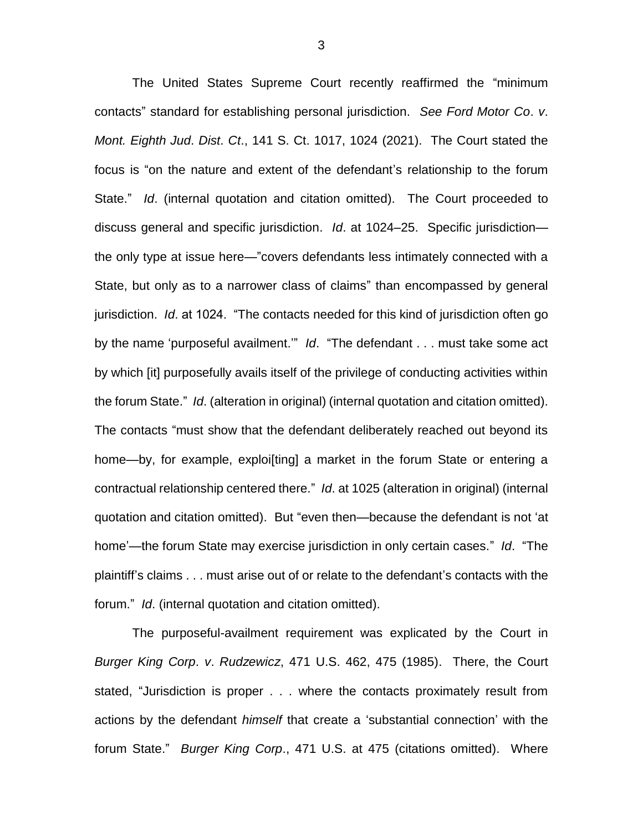The United States Supreme Court recently reaffirmed the "minimum contacts" standard for establishing personal jurisdiction. *See Ford Motor Co*. *v*. *Mont. Eighth Jud*. *Dist*. *Ct*., 141 S. Ct. 1017, 1024 (2021). The Court stated the focus is "on the nature and extent of the defendant's relationship to the forum State." *Id*. (internal quotation and citation omitted). The Court proceeded to discuss general and specific jurisdiction. *Id*. at 1024–25. Specific jurisdiction the only type at issue here—"covers defendants less intimately connected with a State, but only as to a narrower class of claims" than encompassed by general jurisdiction. *Id*. at 1024. "The contacts needed for this kind of jurisdiction often go by the name 'purposeful availment.'" *Id*. "The defendant . . . must take some act by which [it] purposefully avails itself of the privilege of conducting activities within the forum State." *Id*. (alteration in original) (internal quotation and citation omitted). The contacts "must show that the defendant deliberately reached out beyond its home—by, for example, exploisting a market in the forum State or entering a contractual relationship centered there." *Id*. at 1025 (alteration in original) (internal quotation and citation omitted). But "even then—because the defendant is not 'at home'—the forum State may exercise jurisdiction in only certain cases." *Id*. "The plaintiff's claims . . . must arise out of or relate to the defendant's contacts with the forum." *Id*. (internal quotation and citation omitted).

The purposeful-availment requirement was explicated by the Court in *Burger King Corp*. *v*. *Rudzewicz*, 471 U.S. 462, 475 (1985). There, the Court stated, "Jurisdiction is proper . . . where the contacts proximately result from actions by the defendant *himself* that create a 'substantial connection' with the forum State." *Burger King Corp*., 471 U.S. at 475 (citations omitted). Where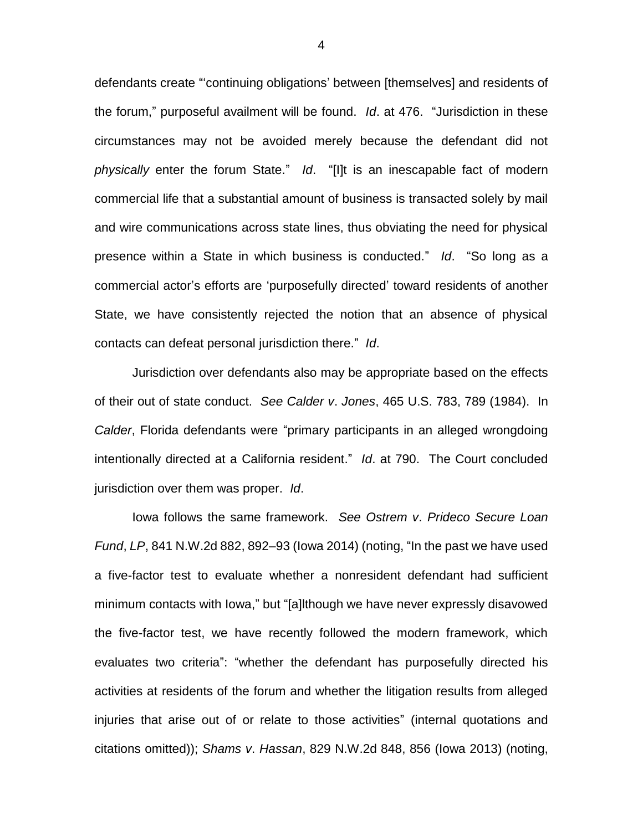defendants create "'continuing obligations' between [themselves] and residents of the forum," purposeful availment will be found. *Id*. at 476. "Jurisdiction in these circumstances may not be avoided merely because the defendant did not *physically* enter the forum State." *Id*. "[I]t is an inescapable fact of modern commercial life that a substantial amount of business is transacted solely by mail and wire communications across state lines, thus obviating the need for physical presence within a State in which business is conducted." *Id*. "So long as a commercial actor's efforts are 'purposefully directed' toward residents of another State, we have consistently rejected the notion that an absence of physical contacts can defeat personal jurisdiction there." *Id*.

Jurisdiction over defendants also may be appropriate based on the effects of their out of state conduct. *See Calder v*. *Jones*, 465 U.S. 783, 789 (1984). In *Calder*, Florida defendants were "primary participants in an alleged wrongdoing intentionally directed at a California resident." *Id*. at 790. The Court concluded jurisdiction over them was proper. *Id*.

Iowa follows the same framework. *See Ostrem v*. *Prideco Secure Loan Fund*, *LP*, 841 N.W.2d 882, 892–93 (Iowa 2014) (noting, "In the past we have used a five-factor test to evaluate whether a nonresident defendant had sufficient minimum contacts with Iowa," but "[a]lthough we have never expressly disavowed the five-factor test, we have recently followed the modern framework, which evaluates two criteria": "whether the defendant has purposefully directed his activities at residents of the forum and whether the litigation results from alleged injuries that arise out of or relate to those activities" (internal quotations and citations omitted)); *Shams v*. *Hassan*, 829 N.W.2d 848, 856 (Iowa 2013) (noting,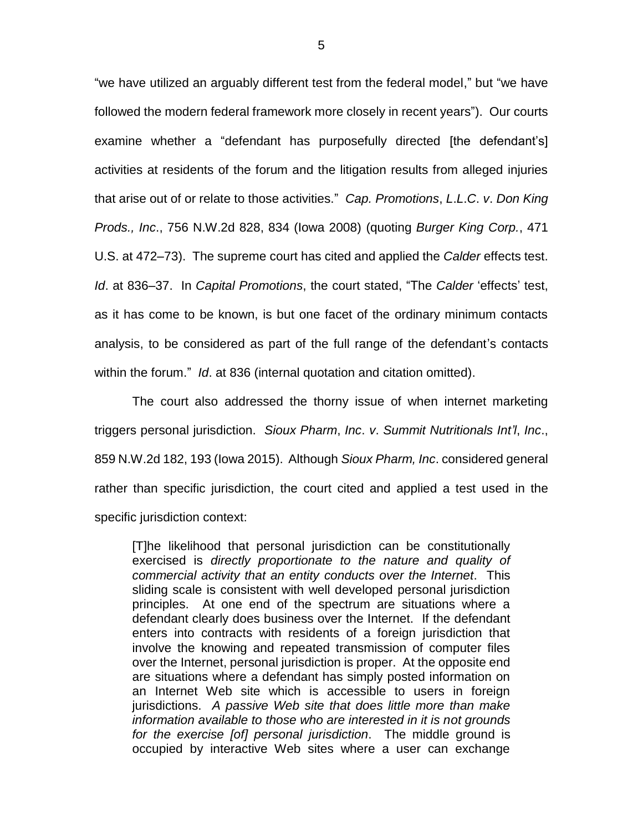"we have utilized an arguably different test from the federal model," but "we have followed the modern federal framework more closely in recent years"). Our courts examine whether a "defendant has purposefully directed [the defendant's] activities at residents of the forum and the litigation results from alleged injuries that arise out of or relate to those activities." *Cap. Promotions*, *L*.*L*.*C*. *v*. *Don King Prods., Inc*., 756 N.W.2d 828, 834 (Iowa 2008) (quoting *Burger King Corp.*, 471 U.S. at 472–73). The supreme court has cited and applied the *Calder* effects test. *Id*. at 836–37. In *Capital Promotions*, the court stated, "The *Calder* 'effects' test, as it has come to be known, is but one facet of the ordinary minimum contacts analysis, to be considered as part of the full range of the defendant's contacts within the forum." *Id*. at 836 (internal quotation and citation omitted).

The court also addressed the thorny issue of when internet marketing triggers personal jurisdiction. *Sioux Pharm*, *Inc*. *v*. *Summit Nutritionals Int'l*, *Inc*., 859 N.W.2d 182, 193 (Iowa 2015). Although *Sioux Pharm, Inc*. considered general rather than specific jurisdiction, the court cited and applied a test used in the specific jurisdiction context:

[T]he likelihood that personal jurisdiction can be constitutionally exercised is *directly proportionate to the nature and quality of commercial activity that an entity conducts over the Internet*. This sliding scale is consistent with well developed personal jurisdiction principles. At one end of the spectrum are situations where a defendant clearly does business over the Internet. If the defendant enters into contracts with residents of a foreign jurisdiction that involve the knowing and repeated transmission of computer files over the Internet, personal jurisdiction is proper. At the opposite end are situations where a defendant has simply posted information on an Internet Web site which is accessible to users in foreign jurisdictions. *A passive Web site that does little more than make information available to those who are interested in it is not grounds for the exercise [of] personal jurisdiction*. The middle ground is occupied by interactive Web sites where a user can exchange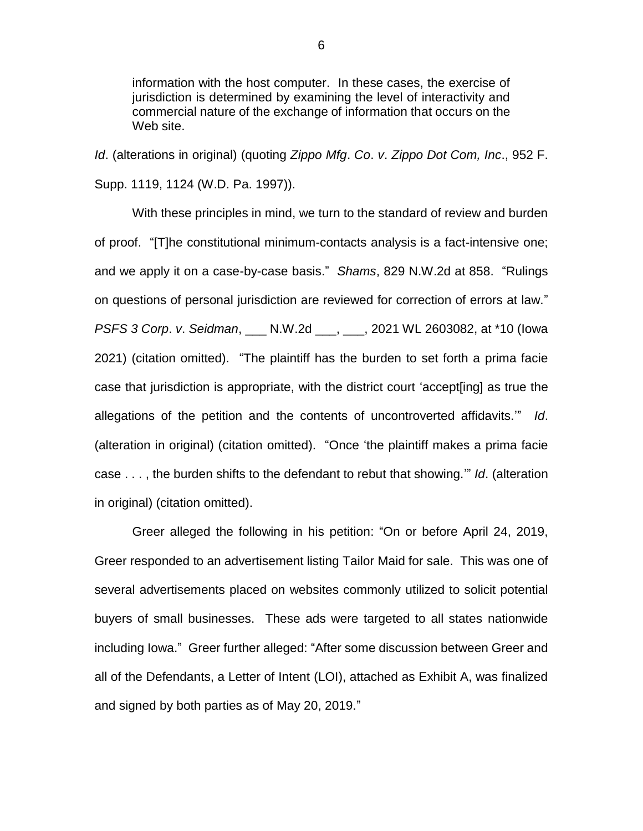information with the host computer. In these cases, the exercise of jurisdiction is determined by examining the level of interactivity and commercial nature of the exchange of information that occurs on the Web site.

*Id*. (alterations in original) (quoting *Zippo Mfg*. *Co*. *v*. *Zippo Dot Com, Inc*., 952 F. Supp. 1119, 1124 (W.D. Pa. 1997)).

With these principles in mind, we turn to the standard of review and burden of proof. "[T]he constitutional minimum-contacts analysis is a fact-intensive one; and we apply it on a case-by-case basis." *Shams*, 829 N.W.2d at 858. "Rulings on questions of personal jurisdiction are reviewed for correction of errors at law." *PSFS 3 Corp*. *v*. *Seidman*, \_\_\_ N.W.2d \_\_\_, \_\_\_, 2021 WL 2603082, at \*10 (Iowa 2021) (citation omitted). "The plaintiff has the burden to set forth a prima facie case that jurisdiction is appropriate, with the district court 'accept[ing] as true the allegations of the petition and the contents of uncontroverted affidavits.'" *Id*. (alteration in original) (citation omitted). "Once 'the plaintiff makes a prima facie case . . . , the burden shifts to the defendant to rebut that showing.'" *Id*. (alteration in original) (citation omitted).

Greer alleged the following in his petition: "On or before April 24, 2019, Greer responded to an advertisement listing Tailor Maid for sale. This was one of several advertisements placed on websites commonly utilized to solicit potential buyers of small businesses. These ads were targeted to all states nationwide including Iowa." Greer further alleged: "After some discussion between Greer and all of the Defendants, a Letter of Intent (LOI), attached as Exhibit A, was finalized and signed by both parties as of May 20, 2019."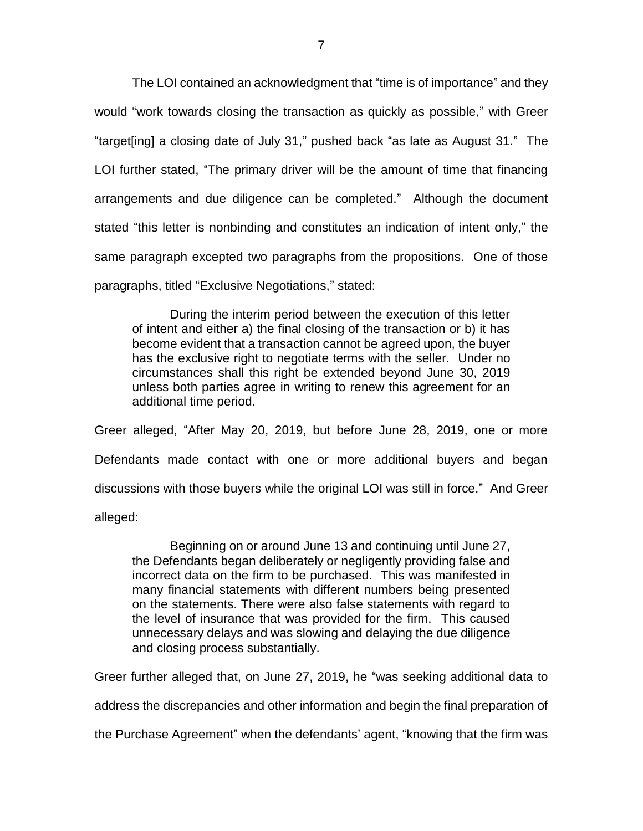The LOI contained an acknowledgment that "time is of importance" and they would "work towards closing the transaction as quickly as possible," with Greer "target[ing] a closing date of July 31," pushed back "as late as August 31." The LOI further stated, "The primary driver will be the amount of time that financing arrangements and due diligence can be completed." Although the document stated "this letter is nonbinding and constitutes an indication of intent only," the same paragraph excepted two paragraphs from the propositions. One of those paragraphs, titled "Exclusive Negotiations," stated:

During the interim period between the execution of this letter of intent and either a) the final closing of the transaction or b) it has become evident that a transaction cannot be agreed upon, the buyer has the exclusive right to negotiate terms with the seller. Under no circumstances shall this right be extended beyond June 30, 2019 unless both parties agree in writing to renew this agreement for an additional time period.

Greer alleged, "After May 20, 2019, but before June 28, 2019, one or more Defendants made contact with one or more additional buyers and began discussions with those buyers while the original LOI was still in force." And Greer alleged:

Beginning on or around June 13 and continuing until June 27, the Defendants began deliberately or negligently providing false and incorrect data on the firm to be purchased. This was manifested in many financial statements with different numbers being presented on the statements. There were also false statements with regard to the level of insurance that was provided for the firm. This caused unnecessary delays and was slowing and delaying the due diligence and closing process substantially.

Greer further alleged that, on June 27, 2019, he "was seeking additional data to

address the discrepancies and other information and begin the final preparation of

the Purchase Agreement" when the defendants' agent, "knowing that the firm was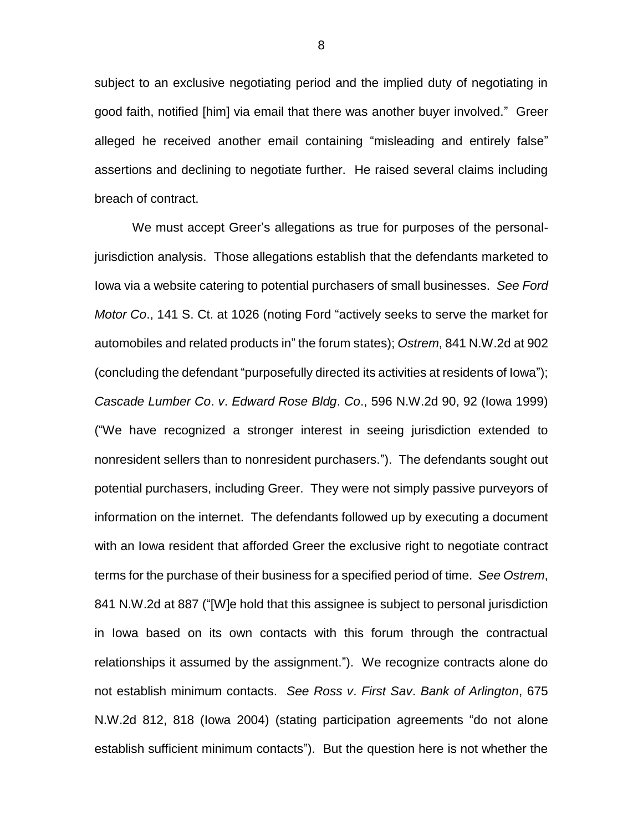subject to an exclusive negotiating period and the implied duty of negotiating in good faith, notified [him] via email that there was another buyer involved." Greer alleged he received another email containing "misleading and entirely false" assertions and declining to negotiate further. He raised several claims including breach of contract.

We must accept Greer's allegations as true for purposes of the personaljurisdiction analysis. Those allegations establish that the defendants marketed to Iowa via a website catering to potential purchasers of small businesses. *See Ford Motor Co*., 141 S. Ct. at 1026 (noting Ford "actively seeks to serve the market for automobiles and related products in" the forum states); *Ostrem*, 841 N.W.2d at 902 (concluding the defendant "purposefully directed its activities at residents of Iowa"); *Cascade Lumber Co*. *v*. *Edward Rose Bldg*. *Co*., 596 N.W.2d 90, 92 (Iowa 1999) ("We have recognized a stronger interest in seeing jurisdiction extended to nonresident sellers than to nonresident purchasers."). The defendants sought out potential purchasers, including Greer. They were not simply passive purveyors of information on the internet. The defendants followed up by executing a document with an Iowa resident that afforded Greer the exclusive right to negotiate contract terms for the purchase of their business for a specified period of time. *See Ostrem*, 841 N.W.2d at 887 ("[W]e hold that this assignee is subject to personal jurisdiction in Iowa based on its own contacts with this forum through the contractual relationships it assumed by the assignment."). We recognize contracts alone do not establish minimum contacts. *See Ross v*. *First Sav*. *Bank of Arlington*, 675 N.W.2d 812, 818 (Iowa 2004) (stating participation agreements "do not alone establish sufficient minimum contacts"). But the question here is not whether the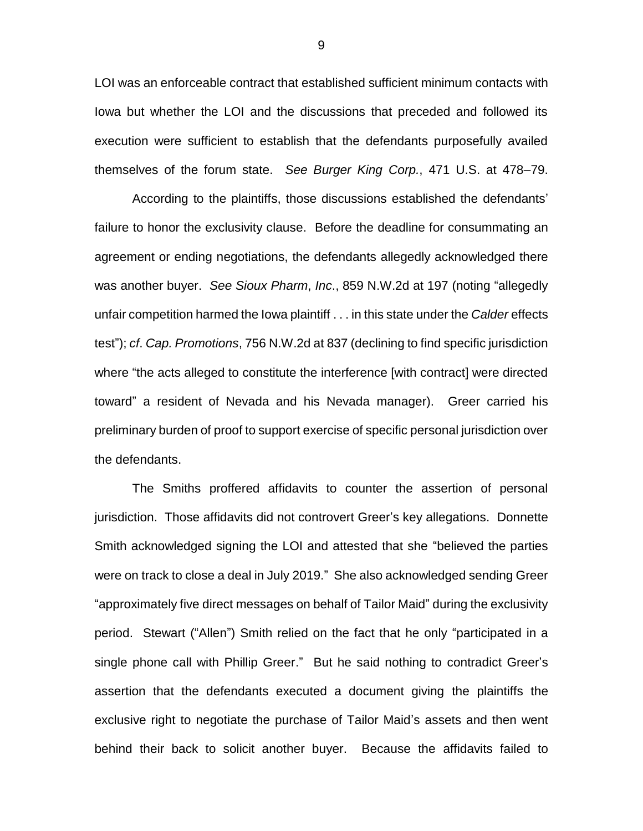LOI was an enforceable contract that established sufficient minimum contacts with Iowa but whether the LOI and the discussions that preceded and followed its execution were sufficient to establish that the defendants purposefully availed themselves of the forum state. *See Burger King Corp.*, 471 U.S. at 478–79.

According to the plaintiffs, those discussions established the defendants' failure to honor the exclusivity clause. Before the deadline for consummating an agreement or ending negotiations, the defendants allegedly acknowledged there was another buyer. *See Sioux Pharm*, *Inc*., 859 N.W.2d at 197 (noting "allegedly unfair competition harmed the Iowa plaintiff . . . in this state under the *Calder* effects test"); *cf*. *Cap. Promotions*, 756 N.W.2d at 837 (declining to find specific jurisdiction where "the acts alleged to constitute the interference [with contract] were directed toward" a resident of Nevada and his Nevada manager). Greer carried his preliminary burden of proof to support exercise of specific personal jurisdiction over the defendants.

The Smiths proffered affidavits to counter the assertion of personal jurisdiction. Those affidavits did not controvert Greer's key allegations. Donnette Smith acknowledged signing the LOI and attested that she "believed the parties were on track to close a deal in July 2019." She also acknowledged sending Greer "approximately five direct messages on behalf of Tailor Maid" during the exclusivity period. Stewart ("Allen") Smith relied on the fact that he only "participated in a single phone call with Phillip Greer." But he said nothing to contradict Greer's assertion that the defendants executed a document giving the plaintiffs the exclusive right to negotiate the purchase of Tailor Maid's assets and then went behind their back to solicit another buyer. Because the affidavits failed to

9